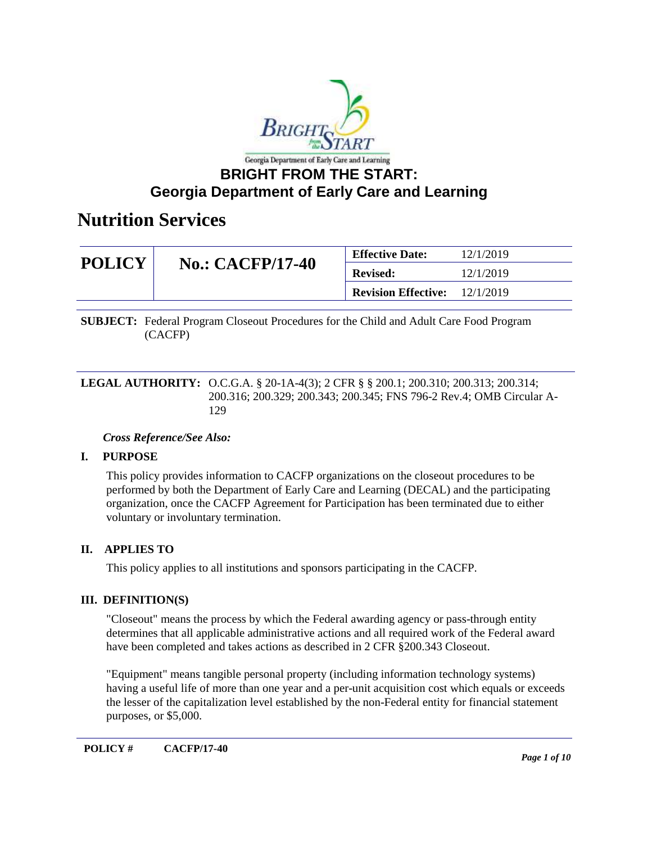

### **Georgia Department of Early Care and Learning**

### **Nutrition Services**

| <b>POLICY</b> | <b>No.: CACFP/17-40</b> | <b>Effective Date:</b>                 | 12/1/2019 |
|---------------|-------------------------|----------------------------------------|-----------|
|               |                         | <b>Revised:</b>                        | 12/1/2019 |
|               |                         | <b>Revision Effective:</b> $12/1/2019$ |           |

**SUBJECT:** Federal Program Closeout Procedures for the Child and Adult Care Food Program (CACFP)

**LEGAL AUTHORITY:** O.C.G.A. § 20-1A-4(3); 2 CFR § § 200.1; 200.310; 200.313; 200.314; 200.316; 200.329; 200.343; 200.345; FNS 796-2 Rev.4; OMB Circular A-129

#### *Cross Reference/See Also:*

#### **I. PURPOSE**

This policy provides information to CACFP organizations on the closeout procedures to be performed by both the Department of Early Care and Learning (DECAL) and the participating organization, once the CACFP Agreement for Participation has been terminated due to either voluntary or involuntary termination.

#### **II. APPLIES TO**

This policy applies to all institutions and sponsors participating in the CACFP.

#### **III. DEFINITION(S)**

"Closeout" means the process by which the Federal awarding agency or pass-through entity determines that all applicable administrative actions and all required work of the Federal award have been completed and takes actions as described in 2 CFR §200.343 Closeout.

"Equipment" means tangible personal property (including information technology systems) having a useful life of more than one year and a per-unit acquisition cost which equals or exceeds the lesser of the capitalization level established by the non-Federal entity for financial statement purposes, or \$5,000.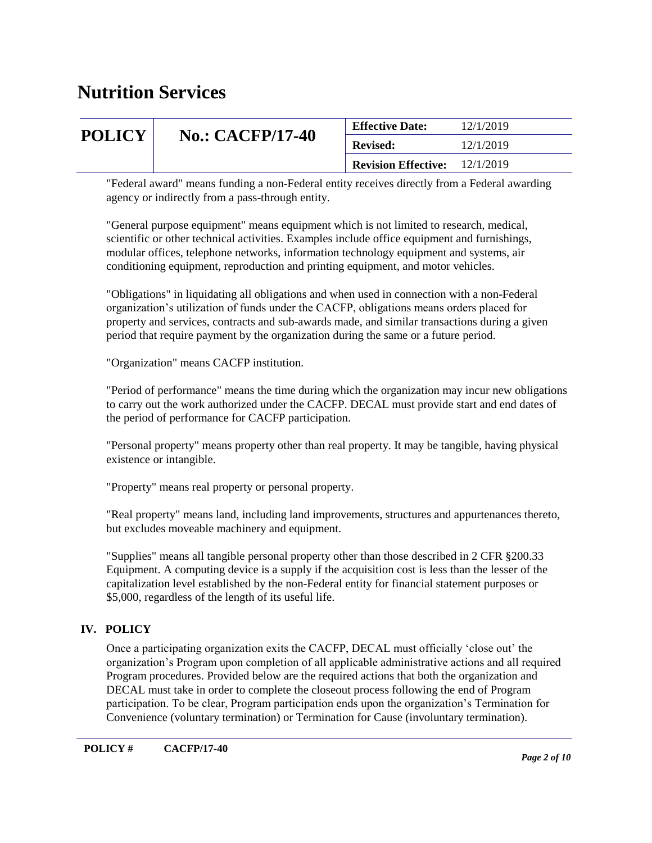| <b>POLICY</b> | <b>No.: CACFP/17-40</b> | <b>Effective Date:</b>                 | 12/1/2019 |
|---------------|-------------------------|----------------------------------------|-----------|
|               |                         | <b>Revised:</b>                        | 12/1/2019 |
|               |                         | <b>Revision Effective:</b> $12/1/2019$ |           |

"Federal award" means funding a non-Federal entity receives directly from a Federal awarding agency or indirectly from a pass-through entity.

"General purpose equipment" means equipment which is not limited to research, medical, scientific or other technical activities. Examples include office equipment and furnishings, modular offices, telephone networks, information technology equipment and systems, air conditioning equipment, reproduction and printing equipment, and motor vehicles.

"Obligations" in liquidating all obligations and when used in connection with a non-Federal organization's utilization of funds under the CACFP, obligations means orders placed for property and services, contracts and sub-awards made, and similar transactions during a given period that require payment by the organization during the same or a future period.

"Organization" means CACFP institution.

"Period of performance" means the time during which the organization may incur new obligations to carry out the work authorized under the CACFP. DECAL must provide start and end dates of the period of performance for CACFP participation.

"Personal property" means property other than real property. It may be tangible, having physical existence or intangible.

"Property" means real property or personal property.

"Real property" means land, including land improvements, structures and appurtenances thereto, but excludes moveable machinery and equipment.

"Supplies" means all tangible personal property other than those described in 2 CFR §200.33 Equipment. A computing device is a supply if the acquisition cost is less than the lesser of the capitalization level established by the non-Federal entity for financial statement purposes or \$5,000, regardless of the length of its useful life.

#### **IV. POLICY**

Once a participating organization exits the CACFP, DECAL must officially 'close out' the organization's Program upon completion of all applicable administrative actions and all required Program procedures. Provided below are the required actions that both the organization and DECAL must take in order to complete the closeout process following the end of Program participation. To be clear, Program participation ends upon the organization's Termination for Convenience (voluntary termination) or Termination for Cause (involuntary termination).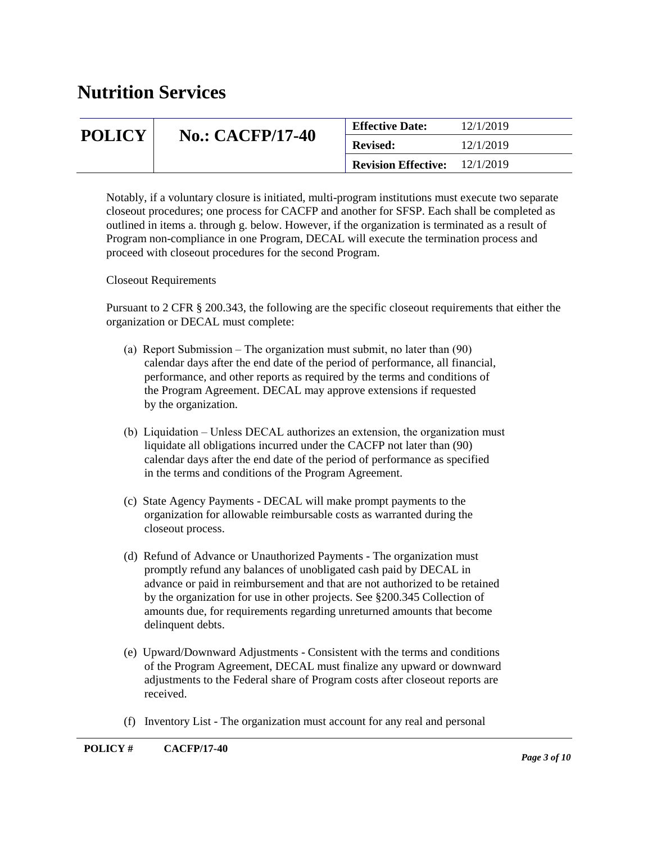| <b>POLICY</b> | <b>No.: CACFP/17-40</b> | <b>Effective Date:</b>     | 12/1/2019 |
|---------------|-------------------------|----------------------------|-----------|
|               |                         | <b>Revised:</b>            | 12/1/2019 |
|               |                         | <b>Revision Effective:</b> | 12/1/2019 |

Notably, if a voluntary closure is initiated, multi-program institutions must execute two separate closeout procedures; one process for CACFP and another for SFSP. Each shall be completed as outlined in items a. through g. below. However, if the organization is terminated as a result of Program non-compliance in one Program, DECAL will execute the termination process and proceed with closeout procedures for the second Program.

Closeout Requirements

Pursuant to 2 CFR § 200.343, the following are the specific closeout requirements that either the organization or DECAL must complete:

- (a) Report Submission The organization must submit, no later than (90) calendar days after the end date of the period of performance, all financial, performance, and other reports as required by the terms and conditions of the Program Agreement. DECAL may approve extensions if requested by the organization.
- (b) Liquidation Unless DECAL authorizes an extension, the organization must liquidate all obligations incurred under the CACFP not later than (90) calendar days after the end date of the period of performance as specified in the terms and conditions of the Program Agreement.
- (c) State Agency Payments DECAL will make prompt payments to the organization for allowable reimbursable costs as warranted during the closeout process.
- (d) Refund of Advance or Unauthorized Payments The organization must promptly refund any balances of unobligated cash paid by DECAL in advance or paid in reimbursement and that are not authorized to be retained by the organization for use in other projects. See §200.345 Collection of amounts due, for requirements regarding unreturned amounts that become delinquent debts.
- (e) Upward/Downward Adjustments Consistent with the terms and conditions of the Program Agreement, DECAL must finalize any upward or downward adjustments to the Federal share of Program costs after closeout reports are received.
- (f) Inventory List The organization must account for any real and personal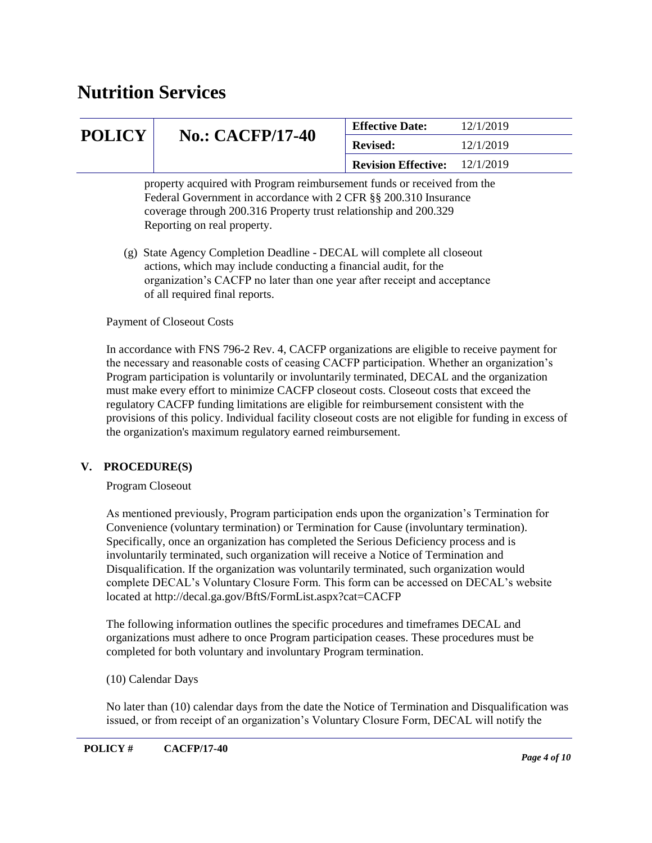| <b>POLICY</b> | <b>No.: CACFP/17-40</b>                                                                                                                                                                                                                        | <b>Effective Date:</b>     | 12/1/2019 |
|---------------|------------------------------------------------------------------------------------------------------------------------------------------------------------------------------------------------------------------------------------------------|----------------------------|-----------|
|               |                                                                                                                                                                                                                                                | <b>Revised:</b>            | 12/1/2019 |
|               |                                                                                                                                                                                                                                                | <b>Revision Effective:</b> | 12/1/2019 |
|               | property acquired with Program reimbursement funds or received from the<br>Federal Government in accordance with 2 CFR §§ 200.310 Insurance<br>coverage through 200.316 Property trust relationship and 200.329<br>Reporting on real property. |                            |           |
|               | (g) State Agency Completion Deadline - DECAL will complete all closeout                                                                                                                                                                        |                            |           |

 actions, which may include conducting a financial audit, for the organization's CACFP no later than one year after receipt and acceptance of all required final reports.

#### Payment of Closeout Costs

In accordance with FNS 796-2 Rev. 4, CACFP organizations are eligible to receive payment for the necessary and reasonable costs of ceasing CACFP participation. Whether an organization's Program participation is voluntarily or involuntarily terminated, DECAL and the organization must make every effort to minimize CACFP closeout costs. Closeout costs that exceed the regulatory CACFP funding limitations are eligible for reimbursement consistent with the provisions of this policy. Individual facility closeout costs are not eligible for funding in excess of the organization's maximum regulatory earned reimbursement.

#### **V. PROCEDURE(S)**

Program Closeout

As mentioned previously, Program participation ends upon the organization's Termination for Convenience (voluntary termination) or Termination for Cause (involuntary termination). Specifically, once an organization has completed the Serious Deficiency process and is involuntarily terminated, such organization will receive a Notice of Termination and Disqualification. If the organization was voluntarily terminated, such organization would complete DECAL's Voluntary Closure Form. This form can be accessed on DECAL's website located at http://decal.ga.gov/BftS/FormList.aspx?cat=CACFP

The following information outlines the specific procedures and timeframes DECAL and organizations must adhere to once Program participation ceases. These procedures must be completed for both voluntary and involuntary Program termination.

#### (10) Calendar Days

No later than (10) calendar days from the date the Notice of Termination and Disqualification was issued, or from receipt of an organization's Voluntary Closure Form, DECAL will notify the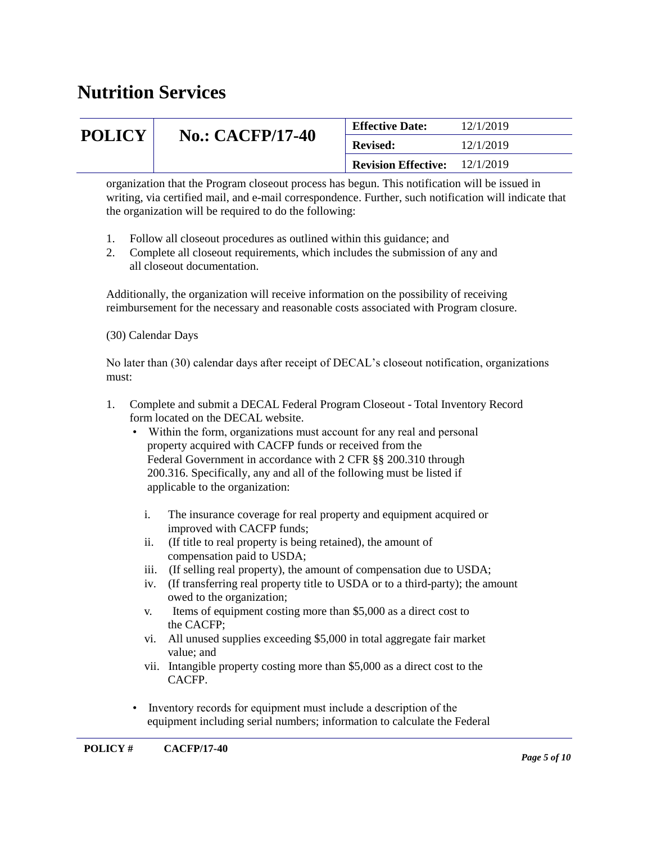| <b>POLICY</b> | <b>No.: CACFP/17-40</b> | <b>Effective Date:</b>     | 12/1/2019 |
|---------------|-------------------------|----------------------------|-----------|
|               |                         | <b>Revised:</b>            | 12/1/2019 |
|               |                         | <b>Revision Effective:</b> | 12/1/2019 |

organization that the Program closeout process has begun. This notification will be issued in writing, via certified mail, and e-mail correspondence. Further, such notification will indicate that the organization will be required to do the following:

- 1. Follow all closeout procedures as outlined within this guidance; and
- 2. Complete all closeout requirements, which includes the submission of any and all closeout documentation.

Additionally, the organization will receive information on the possibility of receiving reimbursement for the necessary and reasonable costs associated with Program closure.

(30) Calendar Days

No later than (30) calendar days after receipt of DECAL's closeout notification, organizations must:

- 1. Complete and submit a DECAL Federal Program Closeout Total Inventory Record form located on the DECAL website.
	- Within the form, organizations must account for any real and personal property acquired with CACFP funds or received from the Federal Government in accordance with 2 CFR §§ 200.310 through 200.316. Specifically, any and all of the following must be listed if applicable to the organization:
		- i. The insurance coverage for real property and equipment acquired or improved with CACFP funds;
		- ii. (If title to real property is being retained), the amount of compensation paid to USDA;
		- iii. (If selling real property), the amount of compensation due to USDA;
		- iv. (If transferring real property title to USDA or to a third-party); the amount owed to the organization;
		- v. Items of equipment costing more than \$5,000 as a direct cost to the CACFP;
		- vi. All unused supplies exceeding \$5,000 in total aggregate fair market value; and
		- vii. Intangible property costing more than \$5,000 as a direct cost to the CACFP.
	- Inventory records for equipment must include a description of the equipment including serial numbers; information to calculate the Federal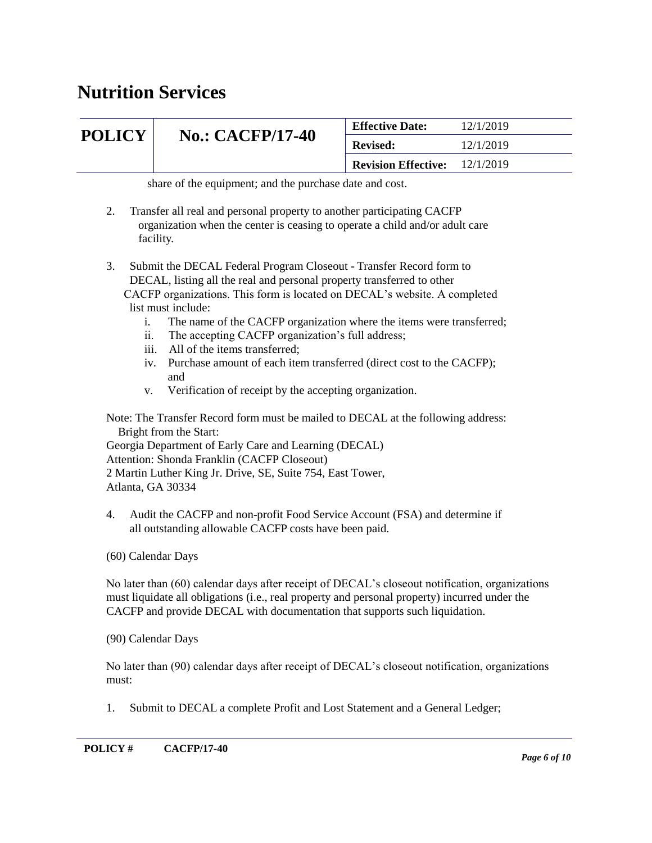### **POLICY** No.: CACFP/17-40 **Effective Date:** 12/1/2019 **Revised:** 12/1/2019 **Revision Effective:** 12/1/2019

share of the equipment; and the purchase date and cost.

- 2. Transfer all real and personal property to another participating CACFP organization when the center is ceasing to operate a child and/or adult care facility.
- 3. Submit the DECAL Federal Program Closeout Transfer Record form to DECAL, listing all the real and personal property transferred to other CACFP organizations. This form is located on DECAL's website. A completed list must include:
	- i. The name of the CACFP organization where the items were transferred;
	- ii. The accepting CACFP organization's full address;
	- iii. All of the items transferred;
	- iv. Purchase amount of each item transferred (direct cost to the CACFP); and
	- v. Verification of receipt by the accepting organization.

Note: The Transfer Record form must be mailed to DECAL at the following address: Bright from the Start:

Georgia Department of Early Care and Learning (DECAL) Attention: Shonda Franklin (CACFP Closeout) 2 Martin Luther King Jr. Drive, SE, Suite 754, East Tower, Atlanta, GA 30334

4. Audit the CACFP and non-profit Food Service Account (FSA) and determine if all outstanding allowable CACFP costs have been paid.

(60) Calendar Days

No later than (60) calendar days after receipt of DECAL's closeout notification, organizations must liquidate all obligations (i.e., real property and personal property) incurred under the CACFP and provide DECAL with documentation that supports such liquidation.

(90) Calendar Days

No later than (90) calendar days after receipt of DECAL's closeout notification, organizations must:

1. Submit to DECAL a complete Profit and Lost Statement and a General Ledger;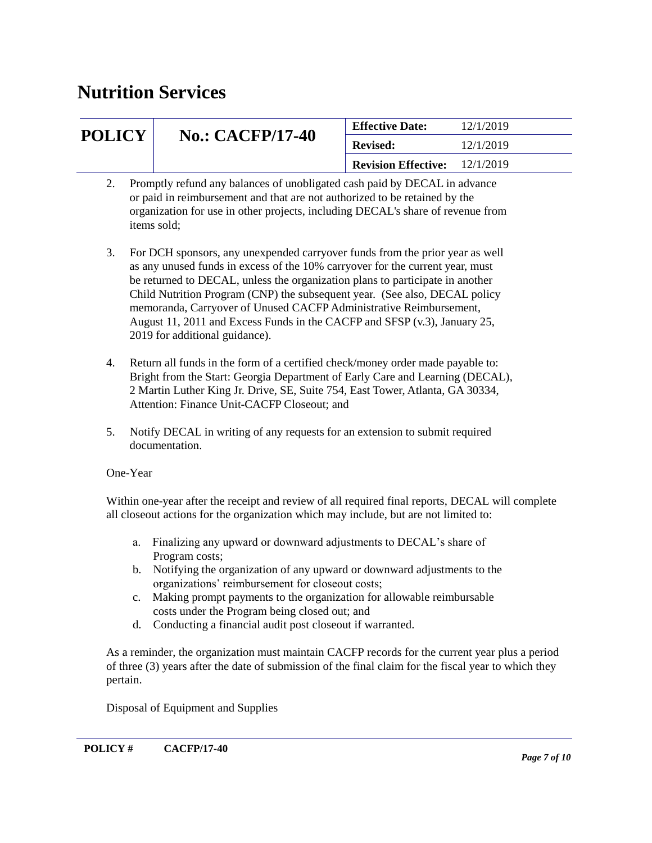| <b>POLICY</b>                                                                    | <b>No.: CACFP/17-40</b> | <b>Effective Date:</b>               | 12/1/2019 |
|----------------------------------------------------------------------------------|-------------------------|--------------------------------------|-----------|
|                                                                                  |                         | <b>Revised:</b>                      | 12/1/2019 |
|                                                                                  |                         | <b>Revision Effective:</b> 12/1/2019 |           |
| <b>Dromptly refund any halances of unobligated cash paid by DECAL in advance</b> |                         |                                      |           |

- Promptly refund any balances of unobligated cash paid by DECAL in advance or paid in reimbursement and that are not authorized to be retained by the organization for use in other projects, including DECAL's share of revenue from items sold;
- 3. For DCH sponsors, any unexpended carryover funds from the prior year as well as any unused funds in excess of the 10% carryover for the current year, must be returned to DECAL, unless the organization plans to participate in another Child Nutrition Program (CNP) the subsequent year. (See also, DECAL policy memoranda, Carryover of Unused CACFP Administrative Reimbursement, August 11, 2011 and Excess Funds in the CACFP and SFSP (v.3), January 25, 2019 for additional guidance).
- 4. Return all funds in the form of a certified check/money order made payable to: Bright from the Start: Georgia Department of Early Care and Learning (DECAL), 2 Martin Luther King Jr. Drive, SE, Suite 754, East Tower, Atlanta, GA 30334, Attention: Finance Unit-CACFP Closeout; and
- 5. Notify DECAL in writing of any requests for an extension to submit required documentation.

#### One-Year

Within one-year after the receipt and review of all required final reports, DECAL will complete all closeout actions for the organization which may include, but are not limited to:

- a. Finalizing any upward or downward adjustments to DECAL's share of Program costs;
- b. Notifying the organization of any upward or downward adjustments to the organizations' reimbursement for closeout costs;
- c. Making prompt payments to the organization for allowable reimbursable costs under the Program being closed out; and
- d. Conducting a financial audit post closeout if warranted.

As a reminder, the organization must maintain CACFP records for the current year plus a period of three (3) years after the date of submission of the final claim for the fiscal year to which they pertain.

Disposal of Equipment and Supplies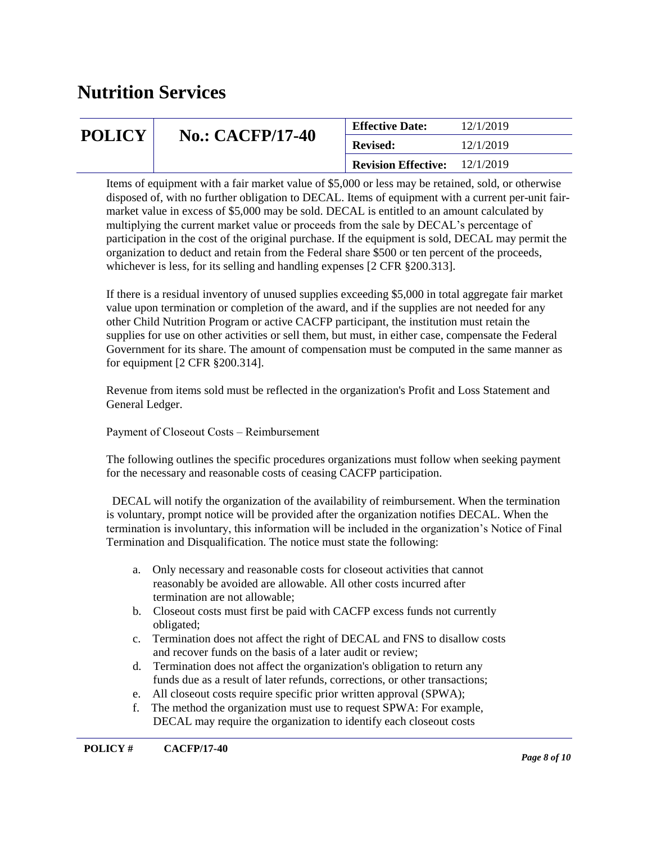| <b>POLICY</b> | <b>No.: CACFP/17-40</b> | <b>Effective Date:</b>               | 12/1/2019 |
|---------------|-------------------------|--------------------------------------|-----------|
|               |                         | <b>Revised:</b>                      | 12/1/2019 |
|               |                         | <b>Revision Effective:</b> 12/1/2019 |           |

Items of equipment with a fair market value of \$5,000 or less may be retained, sold, or otherwise disposed of, with no further obligation to DECAL. Items of equipment with a current per-unit fairmarket value in excess of \$5,000 may be sold. DECAL is entitled to an amount calculated by multiplying the current market value or proceeds from the sale by DECAL's percentage of participation in the cost of the original purchase. If the equipment is sold, DECAL may permit the organization to deduct and retain from the Federal share \$500 or ten percent of the proceeds, whichever is less, for its selling and handling expenses [2 CFR  $\S 200.313$ ].

If there is a residual inventory of unused supplies exceeding \$5,000 in total aggregate fair market value upon termination or completion of the award, and if the supplies are not needed for any other Child Nutrition Program or active CACFP participant, the institution must retain the supplies for use on other activities or sell them, but must, in either case, compensate the Federal Government for its share. The amount of compensation must be computed in the same manner as for equipment [2 CFR §200.314].

Revenue from items sold must be reflected in the organization's Profit and Loss Statement and General Ledger.

Payment of Closeout Costs – Reimbursement

The following outlines the specific procedures organizations must follow when seeking payment for the necessary and reasonable costs of ceasing CACFP participation.

 DECAL will notify the organization of the availability of reimbursement. When the termination is voluntary, prompt notice will be provided after the organization notifies DECAL. When the termination is involuntary, this information will be included in the organization's Notice of Final Termination and Disqualification. The notice must state the following:

- a. Only necessary and reasonable costs for closeout activities that cannot reasonably be avoided are allowable. All other costs incurred after termination are not allowable;
- b. Closeout costs must first be paid with CACFP excess funds not currently obligated;
- c. Termination does not affect the right of DECAL and FNS to disallow costs and recover funds on the basis of a later audit or review;
- d. Termination does not affect the organization's obligation to return any funds due as a result of later refunds, corrections, or other transactions;
- e. All closeout costs require specific prior written approval (SPWA);
- f. The method the organization must use to request SPWA: For example, DECAL may require the organization to identify each closeout costs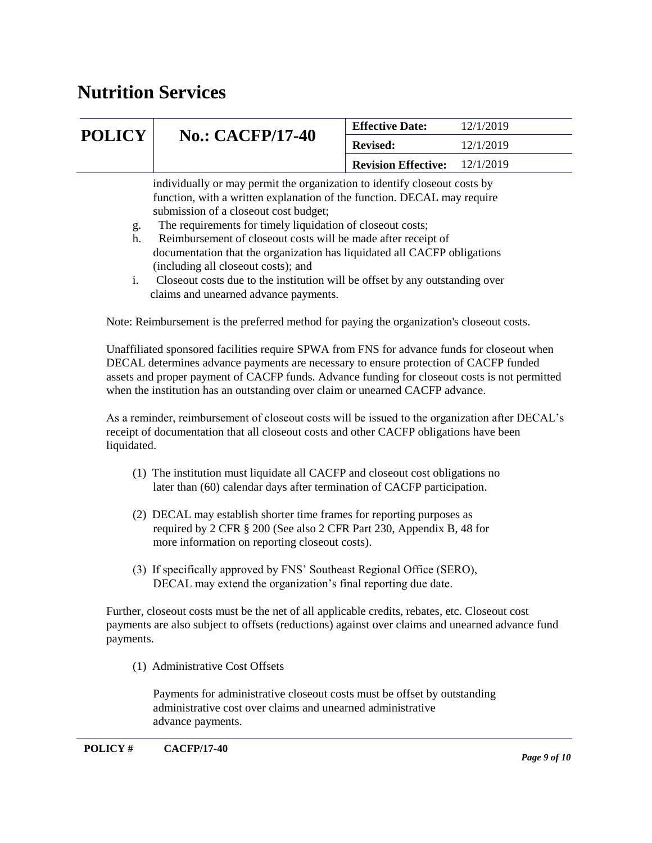| <b>POLICY</b> | <b>No.: CACFP/17-40</b>                                                                                                                                                                                                                                                                                                                                                                                                                          | <b>Effective Date:</b>     | 12/1/2019 |
|---------------|--------------------------------------------------------------------------------------------------------------------------------------------------------------------------------------------------------------------------------------------------------------------------------------------------------------------------------------------------------------------------------------------------------------------------------------------------|----------------------------|-----------|
|               |                                                                                                                                                                                                                                                                                                                                                                                                                                                  | <b>Revised:</b>            | 12/1/2019 |
|               |                                                                                                                                                                                                                                                                                                                                                                                                                                                  | <b>Revision Effective:</b> | 12/1/2019 |
| g.<br>h.      | individually or may permit the organization to identify close out costs by<br>function, with a written explanation of the function. DECAL may require<br>submission of a closeout cost budget;<br>The requirements for timely liquidation of closeout costs;<br>Reimbursement of closeout costs will be made after receipt of<br>documentation that the organization has liquidated all CACFP obligations<br>(including all closeout costs); and |                            |           |
|               | Closeout costs due to the institution will be offset by any outstanding over                                                                                                                                                                                                                                                                                                                                                                     |                            |           |

Closeout costs due to the institution will be offset by any outstanding over claims and unearned advance payments.

Note: Reimbursement is the preferred method for paying the organization's closeout costs.

Unaffiliated sponsored facilities require SPWA from FNS for advance funds for closeout when DECAL determines advance payments are necessary to ensure protection of CACFP funded assets and proper payment of CACFP funds. Advance funding for closeout costs is not permitted when the institution has an outstanding over claim or unearned CACFP advance.

As a reminder, reimbursement of closeout costs will be issued to the organization after DECAL's receipt of documentation that all closeout costs and other CACFP obligations have been liquidated.

- (1) The institution must liquidate all CACFP and closeout cost obligations no later than (60) calendar days after termination of CACFP participation.
- (2) DECAL may establish shorter time frames for reporting purposes as required by 2 CFR § 200 (See also 2 CFR Part 230, Appendix B, 48 for more information on reporting closeout costs).
- (3) If specifically approved by FNS' Southeast Regional Office (SERO), DECAL may extend the organization's final reporting due date.

Further, closeout costs must be the net of all applicable credits, rebates, etc. Closeout cost payments are also subject to offsets (reductions) against over claims and unearned advance fund payments.

(1) Administrative Cost Offsets

 Payments for administrative closeout costs must be offset by outstanding administrative cost over claims and unearned administrative advance payments.